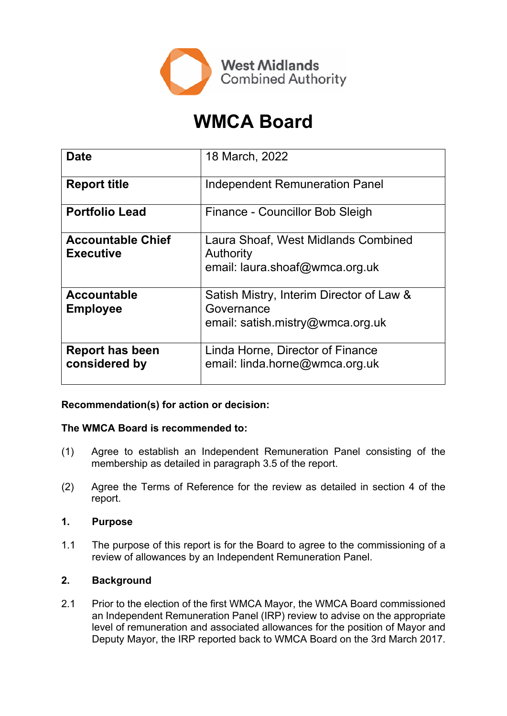

# **WMCA Board**

| <b>Date</b>                                  | 18 March, 2022                                                                             |
|----------------------------------------------|--------------------------------------------------------------------------------------------|
| <b>Report title</b>                          | <b>Independent Remuneration Panel</b>                                                      |
| <b>Portfolio Lead</b>                        | Finance - Councillor Bob Sleigh                                                            |
| <b>Accountable Chief</b><br><b>Executive</b> | Laura Shoaf, West Midlands Combined<br>Authority<br>email: laura.shoaf@wmca.org.uk         |
| <b>Accountable</b><br><b>Employee</b>        | Satish Mistry, Interim Director of Law &<br>Governance<br>email: satish.mistry@wmca.org.uk |
| <b>Report has been</b><br>considered by      | Linda Horne, Director of Finance<br>email: linda.horne@wmca.org.uk                         |

# **Recommendation(s) for action or decision:**

# **The WMCA Board is recommended to:**

- (1) Agree to establish an Independent Remuneration Panel consisting of the membership as detailed in paragraph 3.5 of the report.
- (2) Agree the Terms of Reference for the review as detailed in section 4 of the report.

#### **1. Purpose**

1.1 The purpose of this report is for the Board to agree to the commissioning of a review of allowances by an Independent Remuneration Panel.

# **2. Background**

2.1 Prior to the election of the first WMCA Mayor, the WMCA Board commissioned an Independent Remuneration Panel (IRP) review to advise on the appropriate level of remuneration and associated allowances for the position of Mayor and Deputy Mayor, the IRP reported back to WMCA Board on the 3rd March 2017.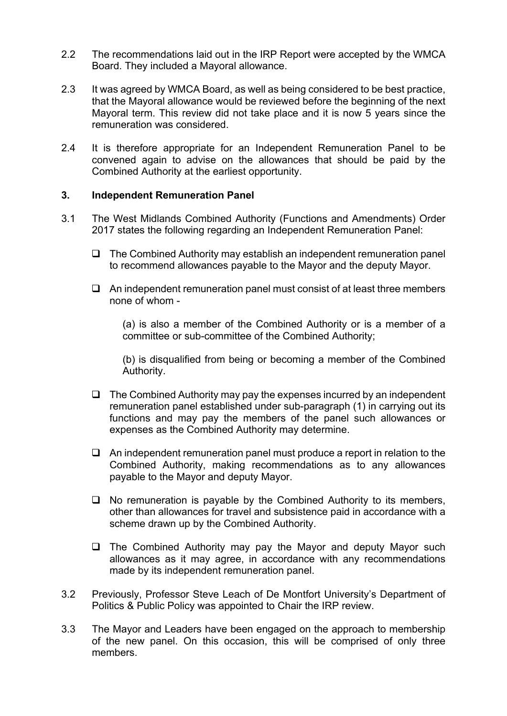- 2.2 The recommendations laid out in the IRP Report were accepted by the WMCA Board. They included a Mayoral allowance.
- 2.3 It was agreed by WMCA Board, as well as being considered to be best practice, that the Mayoral allowance would be reviewed before the beginning of the next Mayoral term. This review did not take place and it is now 5 years since the remuneration was considered.
- 2.4 It is therefore appropriate for an Independent Remuneration Panel to be convened again to advise on the allowances that should be paid by the Combined Authority at the earliest opportunity.

#### **3. Independent Remuneration Panel**

- 3.1 The West Midlands Combined Authority (Functions and Amendments) Order 2017 states the following regarding an Independent Remuneration Panel:
	- $\Box$  The Combined Authority may establish an independent remuneration panel to recommend allowances payable to the Mayor and the deputy Mayor.
	- $\Box$  An independent remuneration panel must consist of at least three members none of whom -

(a) is also a member of the Combined Authority or is a member of a committee or sub-committee of the Combined Authority;

(b) is disqualified from being or becoming a member of the Combined Authority.

- $\Box$  The Combined Authority may pay the expenses incurred by an independent remuneration panel established under sub-paragraph (1) in carrying out its functions and may pay the members of the panel such allowances or expenses as the Combined Authority may determine.
- $\Box$  An independent remuneration panel must produce a report in relation to the Combined Authority, making recommendations as to any allowances payable to the Mayor and deputy Mayor.
- $\Box$  No remuneration is payable by the Combined Authority to its members, other than allowances for travel and subsistence paid in accordance with a scheme drawn up by the Combined Authority.
- $\Box$  The Combined Authority may pay the Mayor and deputy Mayor such allowances as it may agree, in accordance with any recommendations made by its independent remuneration panel.
- 3.2 Previously, Professor Steve Leach of De Montfort University's Department of Politics & Public Policy was appointed to Chair the IRP review.
- 3.3 The Mayor and Leaders have been engaged on the approach to membership of the new panel. On this occasion, this will be comprised of only three members.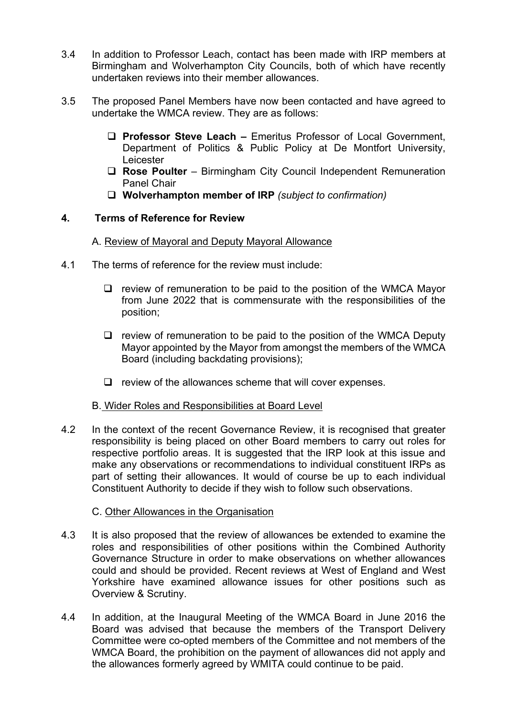- 3.4 In addition to Professor Leach, contact has been made with IRP members at Birmingham and Wolverhampton City Councils, both of which have recently undertaken reviews into their member allowances.
- 3.5 The proposed Panel Members have now been contacted and have agreed to undertake the WMCA review. They are as follows:
	- **Professor Steve Leach –** Emeritus Professor of Local Government, Department of Politics & Public Policy at De Montfort University, Leicester
	- **Rose Poulter** Birmingham City Council Independent Remuneration Panel Chair
	- **Wolverhampton member of IRP** *(subject to confirmation)*

## **4. Terms of Reference for Review**

#### A. Review of Mayoral and Deputy Mayoral Allowance

- 4.1 The terms of reference for the review must include:
	- $\Box$  review of remuneration to be paid to the position of the WMCA Mayor from June 2022 that is commensurate with the responsibilities of the position;
	- $\Box$  review of remuneration to be paid to the position of the WMCA Deputy Mayor appointed by the Mayor from amongst the members of the WMCA Board (including backdating provisions);
	- $\Box$  review of the allowances scheme that will cover expenses.

#### B. Wider Roles and Responsibilities at Board Level

4.2 In the context of the recent Governance Review, it is recognised that greater responsibility is being placed on other Board members to carry out roles for respective portfolio areas. It is suggested that the IRP look at this issue and make any observations or recommendations to individual constituent IRPs as part of setting their allowances. It would of course be up to each individual Constituent Authority to decide if they wish to follow such observations.

## C. Other Allowances in the Organisation

- 4.3 It is also proposed that the review of allowances be extended to examine the roles and responsibilities of other positions within the Combined Authority Governance Structure in order to make observations on whether allowances could and should be provided. Recent reviews at West of England and West Yorkshire have examined allowance issues for other positions such as Overview & Scrutiny.
- 4.4 In addition, at the Inaugural Meeting of the WMCA Board in June 2016 the Board was advised that because the members of the Transport Delivery Committee were co-opted members of the Committee and not members of the WMCA Board, the prohibition on the payment of allowances did not apply and the allowances formerly agreed by WMITA could continue to be paid.